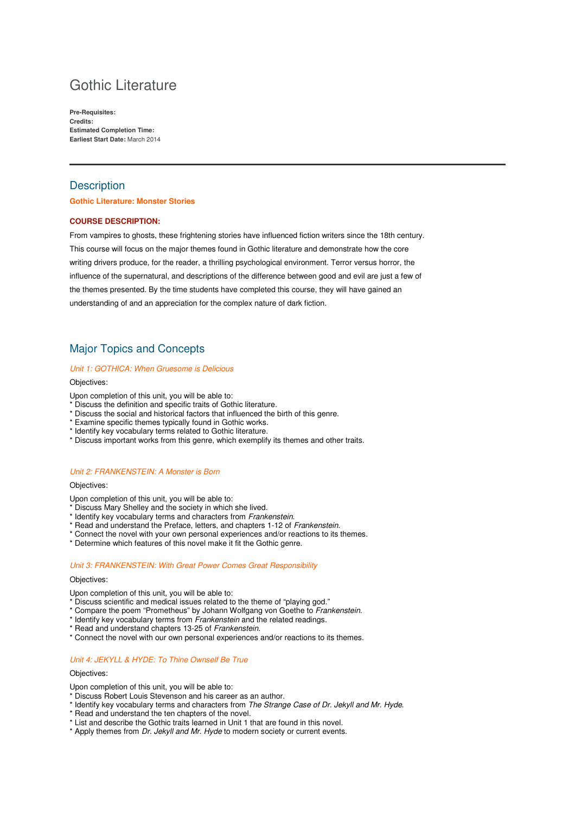# Gothic Literature

**Pre-Requisites: Credits: Estimated Completion Time: Earliest Start Date:** March 2014

# **Description**

## **Gothic Literature: Monster Stories**

## **COURSE DESCRIPTION:**

From vampires to ghosts, these frightening stories have influenced fiction writers since the 18th century. This course will focus on the major themes found in Gothic literature and demonstrate how the core writing drivers produce, for the reader, a thrilling psychological environment. Terror versus horror, the influence of the supernatural, and descriptions of the difference between good and evil are just a few of the themes presented. By the time students have completed this course, they will have gained an understanding of and an appreciation for the complex nature of dark fiction.

# Major Topics and Concepts

#### Unit 1: GOTHICA: When Gruesome is Delicious

#### Objectives:

Upon completion of this unit, you will be able to:

- \* Discuss the definition and specific traits of Gothic literature.
- \* Discuss the social and historical factors that influenced the birth of this genre.
- \* Examine specific themes typically found in Gothic works.
- \* Identify key vocabulary terms related to Gothic literature.
- \* Discuss important works from this genre, which exemplify its themes and other traits.

# Unit 2: FRANKENSTEIN: A Monster is Born

#### Objectives:

Upon completion of this unit, you will be able to:

- \* Discuss Mary Shelley and the society in which she lived.
- \* Identify key vocabulary terms and characters from Frankenstein.
- \* Read and understand the Preface, letters, and chapters 1-12 of Frankenstein.
- \* Connect the novel with your own personal experiences and/or reactions to its themes.
- \* Determine which features of this novel make it fit the Gothic genre.

#### Unit 3: FRANKENSTEIN: With Great Power Comes Great Responsibility

#### Objectives:

Upon completion of this unit, you will be able to:

- Discuss scientific and medical issues related to the theme of "playing god."
- \* Compare the poem "Prometheus" by Johann Wolfgang von Goethe to Frankenstein.
- \* Identify key vocabulary terms from Frankenstein and the related readings.
- \* Read and understand chapters 13-25 of Frankenstein.
- \* Connect the novel with our own personal experiences and/or reactions to its themes.

# Unit 4: JEKYLL & HYDE: To Thine Ownself Be True

#### Objectives:

Upon completion of this unit, you will be able to:

- \* Discuss Robert Louis Stevenson and his career as an author.
- \* Identify key vocabulary terms and characters from The Strange Case of Dr. Jekyll and Mr. Hyde.
- \* Read and understand the ten chapters of the novel.
- \* List and describe the Gothic traits learned in Unit 1 that are found in this novel.
- \* Apply themes from Dr. Jekyll and Mr. Hyde to modern society or current events.